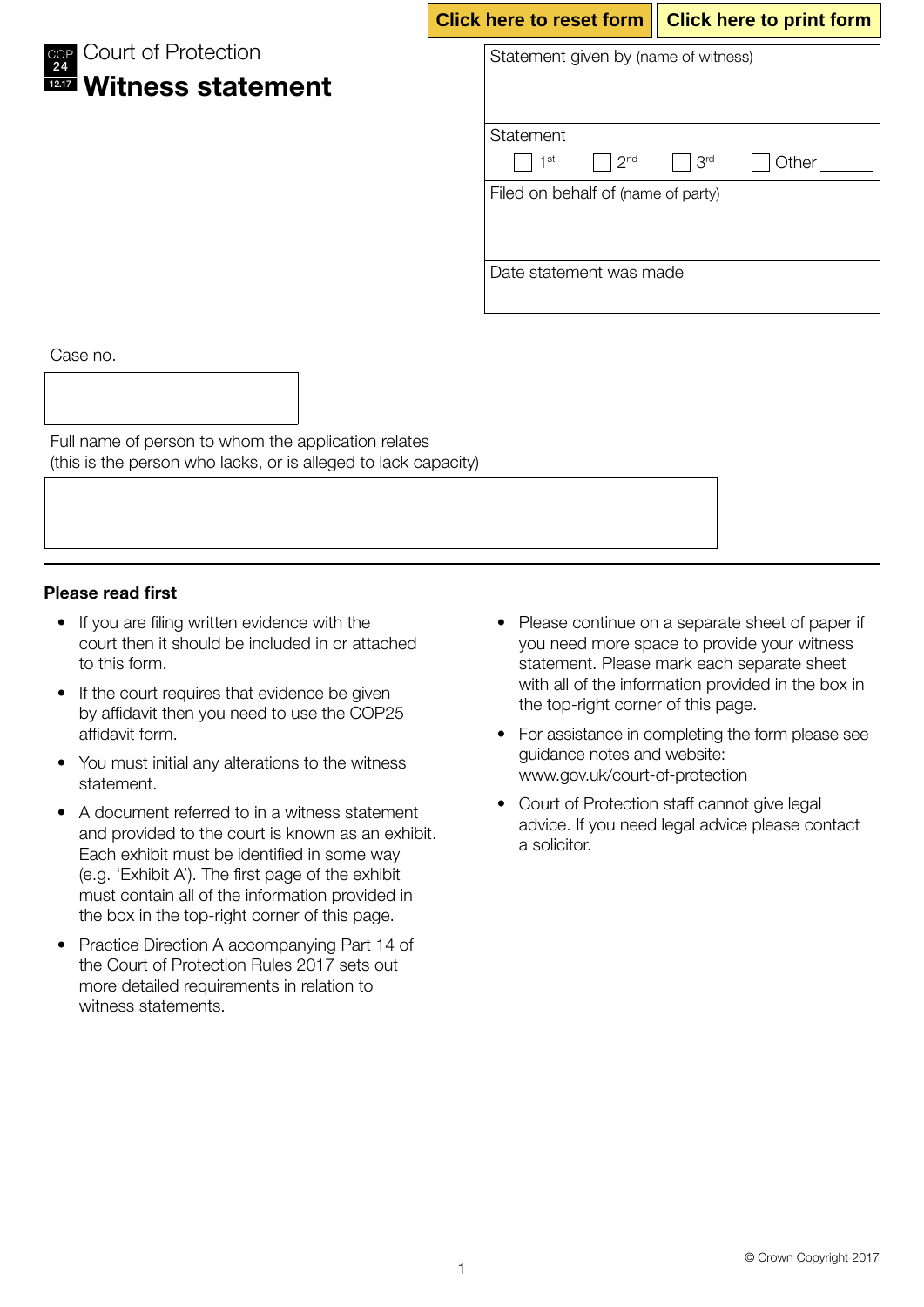## COP 24 itness statement Court of Protection

| Click here to reset form    Click here to print form |                 |       |  |  |
|------------------------------------------------------|-----------------|-------|--|--|
| Statement given by (name of witness)                 |                 |       |  |  |
|                                                      |                 |       |  |  |
| Statement                                            |                 |       |  |  |
| 1 <sup>st</sup><br>2 <sub>nd</sub>                   | 3 <sup>rd</sup> | Other |  |  |
| Filed on behalf of (name of party)                   |                 |       |  |  |
|                                                      |                 |       |  |  |
| Date statement was made                              |                 |       |  |  |
|                                                      |                 |       |  |  |

Case no.

Full name of person to whom the application relates (this is the person who lacks, or is alleged to lack capacity)

## Please read first

- If you are filing written evidence with the court then it should be included in or attached to this form.
- If the court requires that evidence be given by affidavit then you need to use the COP25 affidavit form.
- You must initial any alterations to the witness statement.
- A document referred to in a witness statement and provided to the court is known as an exhibit. Each exhibit must be identified in some way (e.g. 'Exhibit A'). The first page of the exhibit must contain all of the information provided in the box in the top-right corner of this page.
- Practice Direction A accompanying Part 14 of the Court of Protection Rules 2017 sets out more detailed requirements in relation to witness statements.
- Please continue on a separate sheet of paper if you need more space to provide your witness statement. Please mark each separate sheet with all of the information provided in the box in the top-right corner of this page.
- For assistance in completing the form please see guidance notes and website: www.gov.uk/court-of-protection
- Court of Protection staff cannot give legal advice. If you need legal advice please contact a solicitor.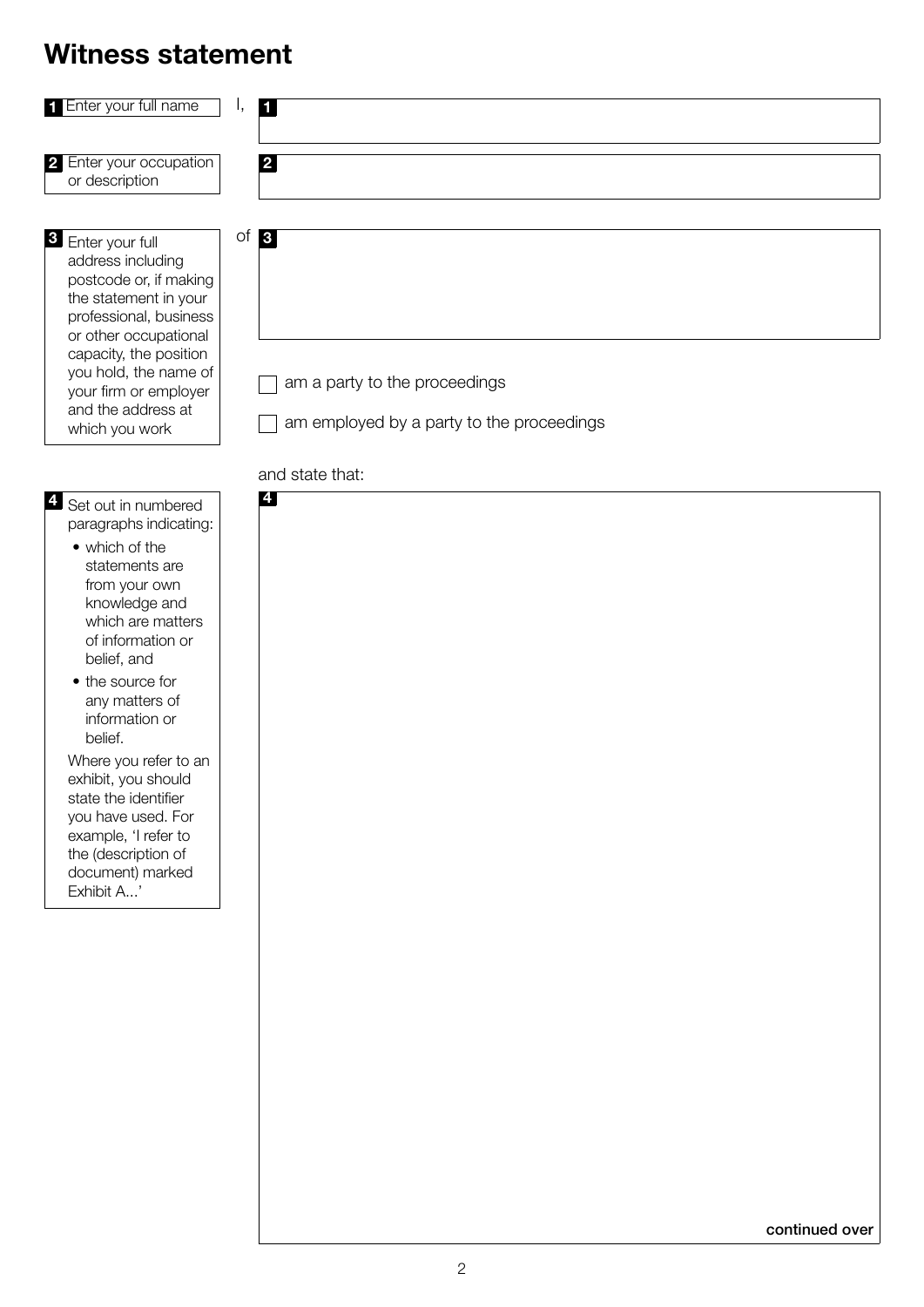## Witness statement

| <b>1</b> Enter your full name                                                                                                                                                                                                                                                                                                                                                                                                    | Ю<br>ι,                                                                                             |
|----------------------------------------------------------------------------------------------------------------------------------------------------------------------------------------------------------------------------------------------------------------------------------------------------------------------------------------------------------------------------------------------------------------------------------|-----------------------------------------------------------------------------------------------------|
| 2 Enter your occupation<br>or description                                                                                                                                                                                                                                                                                                                                                                                        | $\overline{2}$                                                                                      |
| 8 Enter your full<br>address including<br>postcode or, if making<br>the statement in your<br>professional, business<br>or other occupational<br>capacity, the position<br>you hold, the name of<br>your firm or employer<br>and the address at<br>which you work                                                                                                                                                                 | Οf<br>$\vert 3 \vert$<br>am a party to the proceedings<br>am employed by a party to the proceedings |
|                                                                                                                                                                                                                                                                                                                                                                                                                                  | and state that:                                                                                     |
| 4 Set out in numbered<br>paragraphs indicating:<br>• which of the<br>statements are<br>from your own<br>knowledge and<br>which are matters<br>of information or<br>belief, and<br>• the source for<br>any matters of<br>information or<br>belief.<br>Where you refer to an<br>exhibit, you should<br>state the identifier<br>you have used. For<br>example, 'I refer to<br>the (description of<br>document) marked<br>Exhibit A' | 4                                                                                                   |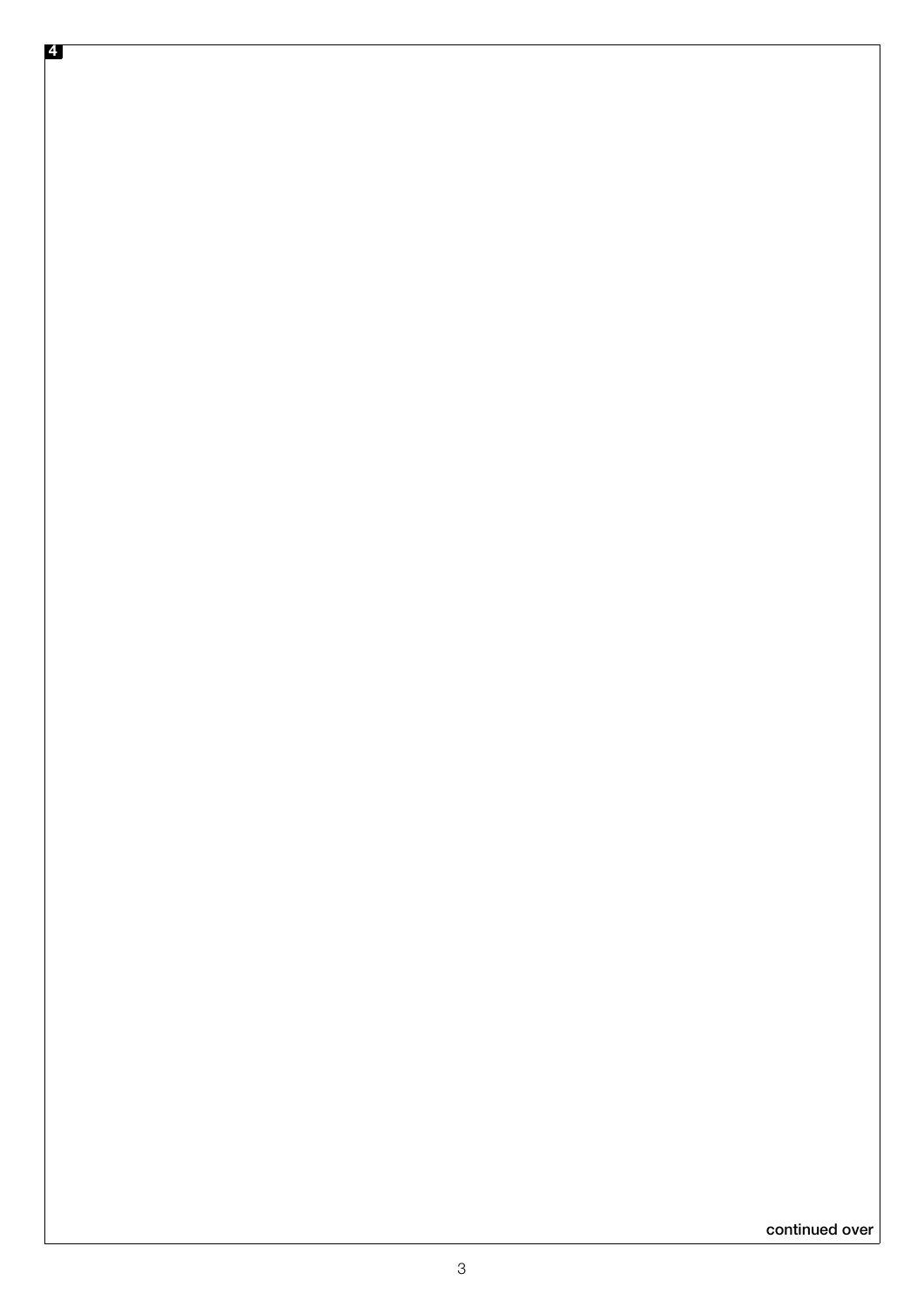$\overline{4}$